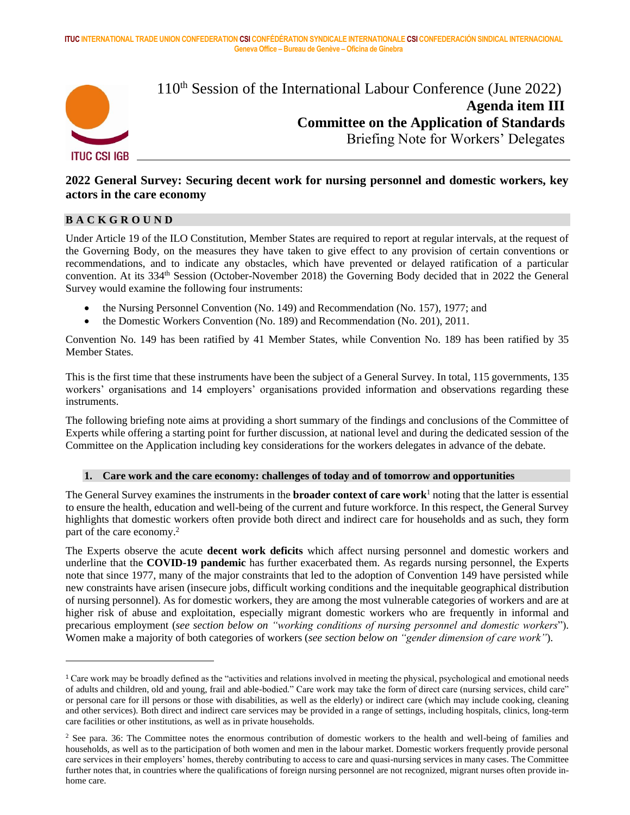

 $110<sup>th</sup>$  Session of the International Labour Conference (June 2022) **Agenda item III Committee on the Application of Standards** Briefing Note for Workers' Delegates

# **2022 General Survey: Securing decent work for nursing personnel and domestic workers, key actors in the care economy**

#### **B A C K G R O U N D**

Under Article 19 of the ILO Constitution, Member States are required to report at regular intervals, at the request of the Governing Body, on the measures they have taken to give effect to any provision of certain conventions or recommendations, and to indicate any obstacles, which have prevented or delayed ratification of a particular convention. At its 334<sup>th</sup> Session (October-November 2018) the Governing Body decided that in 2022 the General Survey would examine the following four instruments:

- the Nursing Personnel Convention (No. 149) and Recommendation (No. 157), 1977; and
- the Domestic Workers Convention (No. 189) and Recommendation (No. 201), 2011.

Convention No. 149 has been ratified by 41 Member States, while Convention No. 189 has been ratified by 35 Member States.

This is the first time that these instruments have been the subject of a General Survey. In total, 115 governments, 135 workers' organisations and 14 employers' organisations provided information and observations regarding these instruments.

The following briefing note aims at providing a short summary of the findings and conclusions of the Committee of Experts while offering a starting point for further discussion, at national level and during the dedicated session of the Committee on the Application including key considerations for the workers delegates in advance of the debate.

#### **1. Care work and the care economy: challenges of today and of tomorrow and opportunities**

The General Survey examines the instruments in the **broader context of care work**<sup>1</sup> noting that the latter is essential to ensure the health, education and well-being of the current and future workforce. In this respect, the General Survey highlights that domestic workers often provide both direct and indirect care for households and as such, they form part of the care economy.<sup>2</sup>

The Experts observe the acute **decent work deficits** which affect nursing personnel and domestic workers and underline that the **COVID-19 pandemic** has further exacerbated them. As regards nursing personnel, the Experts note that since 1977, many of the major constraints that led to the adoption of Convention 149 have persisted while new constraints have arisen (insecure jobs, difficult working conditions and the inequitable geographical distribution of nursing personnel). As for domestic workers, they are among the most vulnerable categories of workers and are at higher risk of abuse and exploitation, especially migrant domestic workers who are frequently in informal and precarious employment (*see section below on "working conditions of nursing personnel and domestic workers*"). Women make a majority of both categories of workers (*see section below on "gender dimension of care work"*).

<sup>1</sup> Care work may be broadly defined as the "activities and relations involved in meeting the physical, psychological and emotional needs of adults and children, old and young, frail and able-bodied." Care work may take the form of direct care (nursing services, child care" or personal care for ill persons or those with disabilities, as well as the elderly) or indirect care (which may include cooking, cleaning and other services). Both direct and indirect care services may be provided in a range of settings, including hospitals, clinics, long-term care facilities or other institutions, as well as in private households.

<sup>&</sup>lt;sup>2</sup> See para. 36: The Committee notes the enormous contribution of domestic workers to the health and well-being of families and households, as well as to the participation of both women and men in the labour market. Domestic workers frequently provide personal care services in their employers' homes, thereby contributing to access to care and quasi-nursing services in many cases. The Committee further notes that, in countries where the qualifications of foreign nursing personnel are not recognized, migrant nurses often provide inhome care.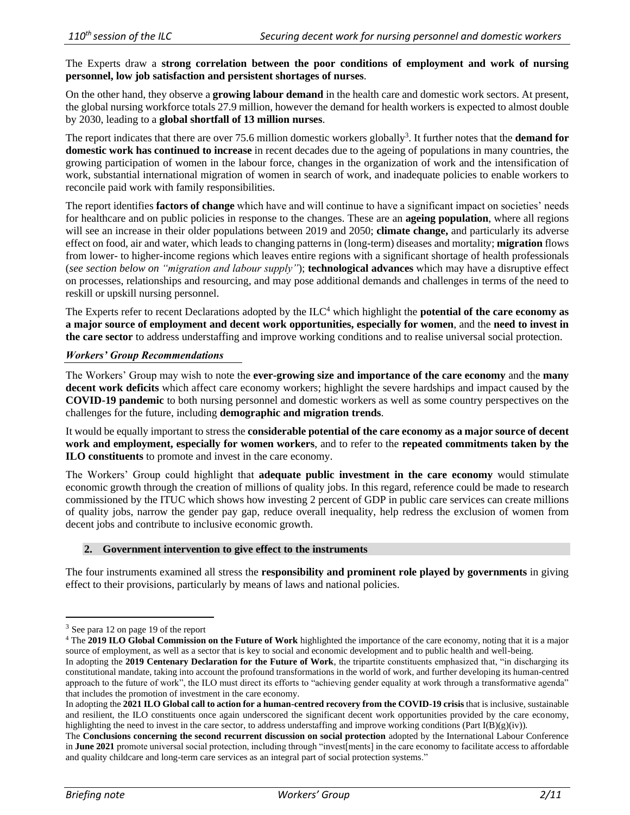The Experts draw a **strong correlation between the poor conditions of employment and work of nursing personnel, low job satisfaction and persistent shortages of nurses**.

On the other hand, they observe a **growing labour demand** in the health care and domestic work sectors. At present, the global nursing workforce totals 27.9 million, however the demand for health workers is expected to almost double by 2030, leading to a **global shortfall of 13 million nurses**.

The report indicates that there are over 75.6 million domestic workers globally<sup>3</sup>. It further notes that the **demand for domestic work has continued to increase** in recent decades due to the ageing of populations in many countries, the growing participation of women in the labour force, changes in the organization of work and the intensification of work, substantial international migration of women in search of work, and inadequate policies to enable workers to reconcile paid work with family responsibilities.

The report identifies **factors of change** which have and will continue to have a significant impact on societies' needs for healthcare and on public policies in response to the changes. These are an **ageing population**, where all regions will see an increase in their older populations between 2019 and 2050; **climate change,** and particularly its adverse effect on food, air and water, which leads to changing patterns in (long-term) diseases and mortality; **migration** flows from lower- to higher-income regions which leaves entire regions with a significant shortage of health professionals (*see section below on "migration and labour supply"*); **technological advances** which may have a disruptive effect on processes, relationships and resourcing, and may pose additional demands and challenges in terms of the need to reskill or upskill nursing personnel.

The Experts refer to recent Declarations adopted by the ILC<sup>4</sup> which highlight the **potential of the care economy as a major source of employment and decent work opportunities, especially for women**, and the **need to invest in the care sector** to address understaffing and improve working conditions and to realise universal social protection.

#### *Workers' Group Recommendations*

The Workers' Group may wish to note the **ever-growing size and importance of the care economy** and the **many decent work deficits** which affect care economy workers; highlight the severe hardships and impact caused by the **COVID-19 pandemic** to both nursing personnel and domestic workers as well as some country perspectives on the challenges for the future, including **demographic and migration trends**.

It would be equally important to stress the **considerable potential of the care economy as a major source of decent work and employment, especially for women workers**, and to refer to the **repeated commitments taken by the ILO constituents** to promote and invest in the care economy.

The Workers' Group could highlight that **adequate public investment in the care economy** would stimulate economic growth through the creation of millions of quality jobs. In this regard, reference could be made to research commissioned by the ITUC which shows how investing 2 percent of GDP in public care services can create millions of quality jobs, narrow the gender pay gap, reduce overall inequality, help redress the exclusion of women from decent jobs and contribute to inclusive economic growth.

#### **2. Government intervention to give effect to the instruments**

The four instruments examined all stress the **responsibility and prominent role played by governments** in giving effect to their provisions, particularly by means of laws and national policies.

<sup>3</sup> See para 12 on page 19 of the report

<sup>4</sup> The **2019 ILO Global Commission on the Future of Work** highlighted the importance of the care economy, noting that it is a major source of employment, as well as a sector that is key to social and economic development and to public health and well-being.

In adopting the **2019 Centenary Declaration for the Future of Work**, the tripartite constituents emphasized that, "in discharging its constitutional mandate, taking into account the profound transformations in the world of work, and further developing its human-centred approach to the future of work", the ILO must direct its efforts to "achieving gender equality at work through a transformative agenda" that includes the promotion of investment in the care economy.

In adopting the **2021 ILO Global call to action for a human-centred recovery from the COVID-19 crisis** that is inclusive, sustainable and resilient, the ILO constituents once again underscored the significant decent work opportunities provided by the care economy, highlighting the need to invest in the care sector, to address understaffing and improve working conditions (Part I(B)(g)(iv)).

The **Conclusions concerning the second recurrent discussion on social protection** adopted by the International Labour Conference in **June 2021** promote universal social protection, including through "invest[ments] in the care economy to facilitate access to affordable and quality childcare and long-term care services as an integral part of social protection systems."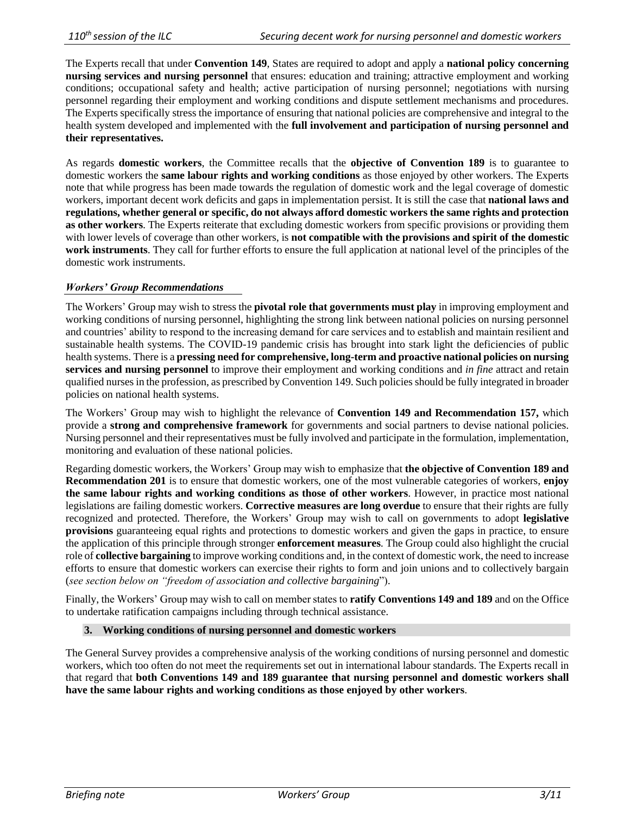The Experts recall that under **Convention 149**, States are required to adopt and apply a **national policy concerning nursing services and nursing personnel** that ensures: education and training; attractive employment and working conditions; occupational safety and health; active participation of nursing personnel; negotiations with nursing personnel regarding their employment and working conditions and dispute settlement mechanisms and procedures. The Experts specifically stress the importance of ensuring that national policies are comprehensive and integral to the health system developed and implemented with the **full involvement and participation of nursing personnel and their representatives.** 

As regards **domestic workers**, the Committee recalls that the **objective of Convention 189** is to guarantee to domestic workers the **same labour rights and working conditions** as those enjoyed by other workers. The Experts note that while progress has been made towards the regulation of domestic work and the legal coverage of domestic workers, important decent work deficits and gaps in implementation persist. It is still the case that **national laws and regulations, whether general or specific, do not always afford domestic workers the same rights and protection as other workers**. The Experts reiterate that excluding domestic workers from specific provisions or providing them with lower levels of coverage than other workers, is **not compatible with the provisions and spirit of the domestic work instruments**. They call for further efforts to ensure the full application at national level of the principles of the domestic work instruments.

# *Workers' Group Recommendations*

The Workers' Group may wish to stress the **pivotal role that governments must play** in improving employment and working conditions of nursing personnel, highlighting the strong link between national policies on nursing personnel and countries' ability to respond to the increasing demand for care services and to establish and maintain resilient and sustainable health systems. The COVID-19 pandemic crisis has brought into stark light the deficiencies of public health systems. There is a **pressing need for comprehensive, long-term and proactive national policies on nursing services and nursing personnel** to improve their employment and working conditions and *in fine* attract and retain qualified nurses in the profession, as prescribed by Convention 149. Such policies should be fully integrated in broader policies on national health systems.

The Workers' Group may wish to highlight the relevance of **Convention 149 and Recommendation 157,** which provide a **strong and comprehensive framework** for governments and social partners to devise national policies. Nursing personnel and their representatives must be fully involved and participate in the formulation, implementation, monitoring and evaluation of these national policies.

Regarding domestic workers, the Workers' Group may wish to emphasize that **the objective of Convention 189 and Recommendation 201** is to ensure that domestic workers, one of the most vulnerable categories of workers, **enjoy the same labour rights and working conditions as those of other workers**. However, in practice most national legislations are failing domestic workers. **Corrective measures are long overdue** to ensure that their rights are fully recognized and protected. Therefore, the Workers' Group may wish to call on governments to adopt **legislative provisions** guaranteeing equal rights and protections to domestic workers and given the gaps in practice, to ensure the application of this principle through stronger **enforcement measures**. The Group could also highlight the crucial role of **collective bargaining** to improve working conditions and, in the context of domestic work, the need to increase efforts to ensure that domestic workers can exercise their rights to form and join unions and to collectively bargain (*see section below on "freedom of association and collective bargaining*").

Finally, the Workers' Group may wish to call on member states to **ratify Conventions 149 and 189** and on the Office to undertake ratification campaigns including through technical assistance.

# **3. Working conditions of nursing personnel and domestic workers**

The General Survey provides a comprehensive analysis of the working conditions of nursing personnel and domestic workers, which too often do not meet the requirements set out in international labour standards. The Experts recall in that regard that **both Conventions 149 and 189 guarantee that nursing personnel and domestic workers shall have the same labour rights and working conditions as those enjoyed by other workers**.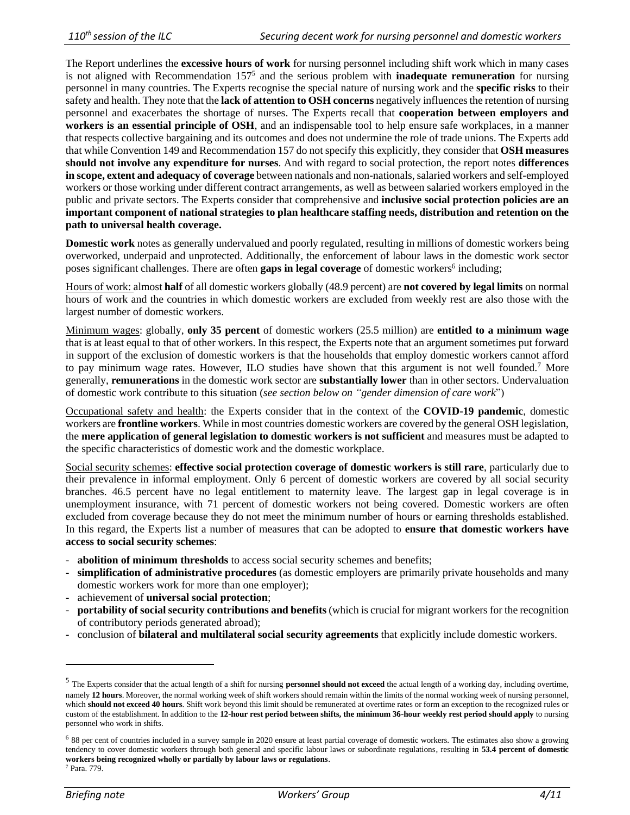The Report underlines the **excessive hours of work** for nursing personnel including shift work which in many cases is not aligned with Recommendation 157<sup>5</sup> and the serious problem with **inadequate remuneration** for nursing personnel in many countries. The Experts recognise the special nature of nursing work and the **specific risks** to their safety and health. They note that the **lack of attention to OSH concerns** negatively influences the retention of nursing personnel and exacerbates the shortage of nurses. The Experts recall that **cooperation between employers and workers is an essential principle of OSH**, and an indispensable tool to help ensure safe workplaces, in a manner that respects collective bargaining and its outcomes and does not undermine the role of trade unions. The Experts add that while Convention 149 and Recommendation 157 do not specify this explicitly, they consider that **OSH measures should not involve any expenditure for nurses**. And with regard to social protection, the report notes **differences in scope, extent and adequacy of coverage** between nationals and non-nationals, salaried workers and self-employed workers or those working under different contract arrangements, as well as between salaried workers employed in the public and private sectors. The Experts consider that comprehensive and **inclusive social protection policies are an important component of national strategies to plan healthcare staffing needs, distribution and retention on the path to universal health coverage.**

**Domestic work** notes as generally undervalued and poorly regulated, resulting in millions of domestic workers being overworked, underpaid and unprotected. Additionally, the enforcement of labour laws in the domestic work sector poses significant challenges. There are often **gaps in legal coverage** of domestic workers<sup>6</sup> including;

Hours of work: almost **half** of all domestic workers globally (48.9 percent) are **not covered by legal limits** on normal hours of work and the countries in which domestic workers are excluded from weekly rest are also those with the largest number of domestic workers.

Minimum wages: globally, **only 35 percent** of domestic workers (25.5 million) are **entitled to a minimum wage** that is at least equal to that of other workers. In this respect, the Experts note that an argument sometimes put forward in support of the exclusion of domestic workers is that the households that employ domestic workers cannot afford to pay minimum wage rates. However, ILO studies have shown that this argument is not well founded.<sup>7</sup> More generally, **remunerations** in the domestic work sector are **substantially lower** than in other sectors. Undervaluation of domestic work contribute to this situation (*see section below on "gender dimension of care work*")

Occupational safety and health: the Experts consider that in the context of the **COVID-19 pandemic**, domestic workers are **frontline workers**. While in most countries domestic workers are covered by the general OSH legislation, the **mere application of general legislation to domestic workers is not sufficient** and measures must be adapted to the specific characteristics of domestic work and the domestic workplace.

Social security schemes: **effective social protection coverage of domestic workers is still rare**, particularly due to their prevalence in informal employment. Only 6 percent of domestic workers are covered by all social security branches. 46.5 percent have no legal entitlement to maternity leave. The largest gap in legal coverage is in unemployment insurance, with 71 percent of domestic workers not being covered. Domestic workers are often excluded from coverage because they do not meet the minimum number of hours or earning thresholds established. In this regard, the Experts list a number of measures that can be adopted to **ensure that domestic workers have access to social security schemes**:

- **abolition of minimum thresholds** to access social security schemes and benefits;
- **simplification of administrative procedures** (as domestic employers are primarily private households and many domestic workers work for more than one employer);
- achievement of **universal social protection**;
- **portability of social security contributions and benefits** (which is crucial for migrant workers for the recognition of contributory periods generated abroad);
- conclusion of **bilateral and multilateral social security agreements** that explicitly include domestic workers.

<sup>&</sup>lt;sup>5</sup> The Experts consider that the actual length of a shift for nursing **personnel should not exceed** the actual length of a working day, including overtime, namely **12 hours**. Moreover, the normal working week of shift workers should remain within the limits of the normal working week of nursing personnel, which **should not exceed 40 hours**. Shift work beyond this limit should be remunerated at overtime rates or form an exception to the recognized rules or custom of the establishment. In addition to the **12-hour rest period between shifts, the minimum 36-hour weekly rest period should apply** to nursing personnel who work in shifts.

<sup>6</sup> 88 per cent of countries included in a survey sample in 2020 ensure at least partial coverage of domestic workers. The estimates also show a growing tendency to cover domestic workers through both general and specific labour laws or subordinate regulations, resulting in **53.4 percent of domestic workers being recognized wholly or partially by labour laws or regulations**. <sup>7</sup> Para. 779.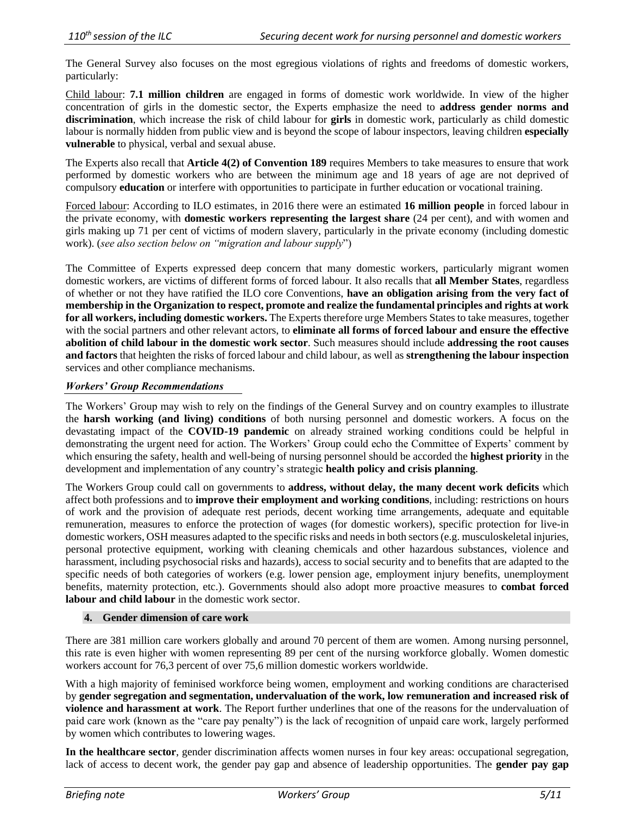The General Survey also focuses on the most egregious violations of rights and freedoms of domestic workers, particularly:

Child labour: **7.1 million children** are engaged in forms of domestic work worldwide. In view of the higher concentration of girls in the domestic sector, the Experts emphasize the need to **address gender norms and discrimination**, which increase the risk of child labour for **girls** in domestic work, particularly as child domestic labour is normally hidden from public view and is beyond the scope of labour inspectors, leaving children **especially vulnerable** to physical, verbal and sexual abuse.

The Experts also recall that **Article 4(2) of Convention 189** requires Members to take measures to ensure that work performed by domestic workers who are between the minimum age and 18 years of age are not deprived of compulsory **education** or interfere with opportunities to participate in further education or vocational training.

Forced labour: According to ILO estimates, in 2016 there were an estimated **16 million people** in forced labour in the private economy, with **domestic workers representing the largest share** (24 per cent), and with women and girls making up 71 per cent of victims of modern slavery, particularly in the private economy (including domestic work). (*see also section below on "migration and labour supply*")

The Committee of Experts expressed deep concern that many domestic workers, particularly migrant women domestic workers, are victims of different forms of forced labour. It also recalls that **all Member States**, regardless of whether or not they have ratified the ILO core Conventions, **have an obligation arising from the very fact of membership in the Organization to respect, promote and realize the fundamental principles and rights at work for all workers, including domestic workers.** The Experts therefore urge Members States to take measures, together with the social partners and other relevant actors, to **eliminate all forms of forced labour and ensure the effective abolition of child labour in the domestic work sector**. Such measures should include **addressing the root causes and factors** that heighten the risks of forced labour and child labour, as well as **strengthening the labour inspection**  services and other compliance mechanisms.

# *Workers' Group Recommendations*

The Workers' Group may wish to rely on the findings of the General Survey and on country examples to illustrate the **harsh working (and living) conditions** of both nursing personnel and domestic workers. A focus on the devastating impact of the **COVID-19 pandemic** on already strained working conditions could be helpful in demonstrating the urgent need for action. The Workers' Group could echo the Committee of Experts' comment by which ensuring the safety, health and well-being of nursing personnel should be accorded the **highest priority** in the development and implementation of any country's strategic **health policy and crisis planning**.

The Workers Group could call on governments to **address, without delay, the many decent work deficits** which affect both professions and to **improve their employment and working conditions**, including: restrictions on hours of work and the provision of adequate rest periods, decent working time arrangements, adequate and equitable remuneration, measures to enforce the protection of wages (for domestic workers), specific protection for live-in domestic workers, OSH measures adapted to the specific risks and needs in both sectors (e.g. musculoskeletal injuries, personal protective equipment, working with cleaning chemicals and other hazardous substances, violence and harassment, including psychosocial risks and hazards), access to social security and to benefits that are adapted to the specific needs of both categories of workers (e.g. lower pension age, employment injury benefits, unemployment benefits, maternity protection, etc.). Governments should also adopt more proactive measures to **combat forced labour and child labour** in the domestic work sector.

# **4. Gender dimension of care work**

There are 381 million care workers globally and around 70 percent of them are women. Among nursing personnel, this rate is even higher with women representing 89 per cent of the nursing workforce globally. Women domestic workers account for 76,3 percent of over 75,6 million domestic workers worldwide.

With a high majority of feminised workforce being women, employment and working conditions are characterised by **gender segregation and segmentation, undervaluation of the work, low remuneration and increased risk of violence and harassment at work**. The Report further underlines that one of the reasons for the undervaluation of paid care work (known as the "care pay penalty") is the lack of recognition of unpaid care work, largely performed by women which contributes to lowering wages.

**In the healthcare sector**, gender discrimination affects women nurses in four key areas: occupational segregation, lack of access to decent work, the gender pay gap and absence of leadership opportunities. The **gender pay gap**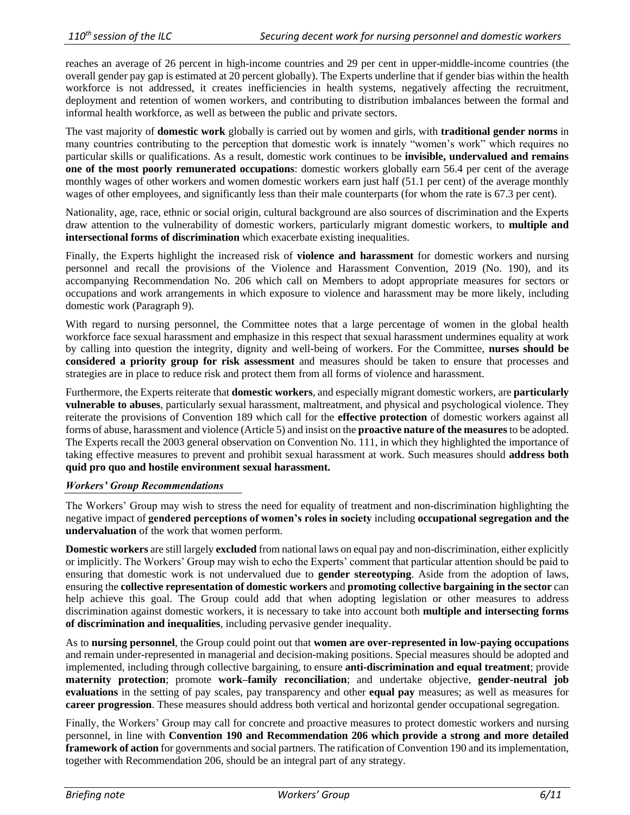reaches an average of 26 percent in high-income countries and 29 per cent in upper-middle-income countries (the overall gender pay gap is estimated at 20 percent globally). The Experts underline that if gender bias within the health workforce is not addressed, it creates inefficiencies in health systems, negatively affecting the recruitment, deployment and retention of women workers, and contributing to distribution imbalances between the formal and informal health workforce, as well as between the public and private sectors.

The vast majority of **domestic work** globally is carried out by women and girls, with **traditional gender norms** in many countries contributing to the perception that domestic work is innately "women's work" which requires no particular skills or qualifications. As a result, domestic work continues to be **invisible, undervalued and remains one of the most poorly remunerated occupations**: domestic workers globally earn 56.4 per cent of the average monthly wages of other workers and women domestic workers earn just half (51.1 per cent) of the average monthly wages of other employees, and significantly less than their male counterparts (for whom the rate is 67.3 per cent).

Nationality, age, race, ethnic or social origin, cultural background are also sources of discrimination and the Experts draw attention to the vulnerability of domestic workers, particularly migrant domestic workers, to **multiple and intersectional forms of discrimination** which exacerbate existing inequalities.

Finally, the Experts highlight the increased risk of **violence and harassment** for domestic workers and nursing personnel and recall the provisions of the Violence and Harassment Convention, 2019 (No. 190), and its accompanying Recommendation No. 206 which call on Members to adopt appropriate measures for sectors or occupations and work arrangements in which exposure to violence and harassment may be more likely, including domestic work (Paragraph 9).

With regard to nursing personnel, the Committee notes that a large percentage of women in the global health workforce face sexual harassment and emphasize in this respect that sexual harassment undermines equality at work by calling into question the integrity, dignity and well-being of workers. For the Committee, **nurses should be considered a priority group for risk assessment** and measures should be taken to ensure that processes and strategies are in place to reduce risk and protect them from all forms of violence and harassment.

Furthermore, the Experts reiterate that **domestic workers**, and especially migrant domestic workers, are **particularly vulnerable to abuses**, particularly sexual harassment, maltreatment, and physical and psychological violence. They reiterate the provisions of Convention 189 which call for the **effective protection** of domestic workers against all forms of abuse, harassment and violence (Article 5) and insist on the **proactive nature of the measures** to be adopted. The Experts recall the 2003 general observation on Convention No. 111, in which they highlighted the importance of taking effective measures to prevent and prohibit sexual harassment at work. Such measures should **address both quid pro quo and hostile environment sexual harassment.**

# *Workers' Group Recommendations*

The Workers' Group may wish to stress the need for equality of treatment and non-discrimination highlighting the negative impact of **gendered perceptions of women's roles in society** including **occupational segregation and the undervaluation** of the work that women perform.

**Domestic workers** are still largely **excluded** from national laws on equal pay and non-discrimination, either explicitly or implicitly. The Workers' Group may wish to echo the Experts' comment that particular attention should be paid to ensuring that domestic work is not undervalued due to **gender stereotyping**. Aside from the adoption of laws, ensuring the **collective representation of domestic workers** and **promoting collective bargaining in the sector** can help achieve this goal. The Group could add that when adopting legislation or other measures to address discrimination against domestic workers, it is necessary to take into account both **multiple and intersecting forms of discrimination and inequalities**, including pervasive gender inequality.

As to **nursing personnel**, the Group could point out that **women are over-represented in low-paying occupations** and remain under-represented in managerial and decision-making positions. Special measures should be adopted and implemented, including through collective bargaining, to ensure **anti-discrimination and equal treatment**; provide **maternity protection**; promote **work–family reconciliation**; and undertake objective, **gender-neutral job evaluations** in the setting of pay scales, pay transparency and other **equal pay** measures; as well as measures for **career progression**. These measures should address both vertical and horizontal gender occupational segregation.

Finally, the Workers' Group may call for concrete and proactive measures to protect domestic workers and nursing personnel, in line with **Convention 190 and Recommendation 206 which provide a strong and more detailed framework of action** for governments and social partners. The ratification of Convention 190 and its implementation, together with Recommendation 206, should be an integral part of any strategy.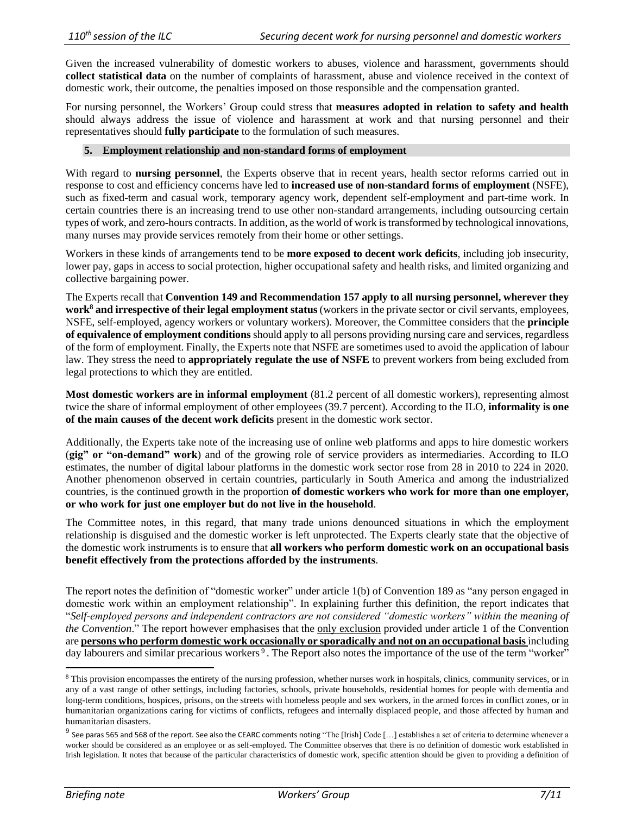Given the increased vulnerability of domestic workers to abuses, violence and harassment, governments should **collect statistical data** on the number of complaints of harassment, abuse and violence received in the context of domestic work, their outcome, the penalties imposed on those responsible and the compensation granted.

For nursing personnel, the Workers' Group could stress that **measures adopted in relation to safety and health** should always address the issue of violence and harassment at work and that nursing personnel and their representatives should **fully participate** to the formulation of such measures.

# **5. Employment relationship and non-standard forms of employment**

With regard to **nursing personnel**, the Experts observe that in recent years, health sector reforms carried out in response to cost and efficiency concerns have led to **increased use of non-standard forms of employment** (NSFE), such as fixed-term and casual work, temporary agency work, dependent self-employment and part-time work. In certain countries there is an increasing trend to use other non-standard arrangements, including outsourcing certain types of work, and zero-hours contracts. In addition, as the world of work is transformed by technological innovations, many nurses may provide services remotely from their home or other settings.

Workers in these kinds of arrangements tend to be **more exposed to decent work deficits**, including job insecurity, lower pay, gaps in access to social protection, higher occupational safety and health risks, and limited organizing and collective bargaining power.

The Experts recall that **Convention 149 and Recommendation 157 apply to all nursing personnel, wherever they work<sup>8</sup> and irrespective of their legal employment status** (workers in the private sector or civil servants, employees, NSFE, self-employed, agency workers or voluntary workers). Moreover, the Committee considers that the **principle of equivalence of employment conditions** should apply to all persons providing nursing care and services, regardless of the form of employment. Finally, the Experts note that NSFE are sometimes used to avoid the application of labour law. They stress the need to **appropriately regulate the use of NSFE** to prevent workers from being excluded from legal protections to which they are entitled.

**Most domestic workers are in informal employment** (81.2 percent of all domestic workers), representing almost twice the share of informal employment of other employees (39.7 percent). According to the ILO, **informality is one of the main causes of the decent work deficits** present in the domestic work sector.

Additionally, the Experts take note of the increasing use of online web platforms and apps to hire domestic workers (**gig" or "on-demand" work**) and of the growing role of service providers as intermediaries. According to ILO estimates, the number of digital labour platforms in the domestic work sector rose from 28 in 2010 to 224 in 2020. Another phenomenon observed in certain countries, particularly in South America and among the industrialized countries, is the continued growth in the proportion **of domestic workers who work for more than one employer, or who work for just one employer but do not live in the household**.

The Committee notes, in this regard, that many trade unions denounced situations in which the employment relationship is disguised and the domestic worker is left unprotected. The Experts clearly state that the objective of the domestic work instruments is to ensure that **all workers who perform domestic work on an occupational basis benefit effectively from the protections afforded by the instruments**.

The report notes the definition of "domestic worker" under article 1(b) of Convention 189 as "any person engaged in domestic work within an employment relationship". In explaining further this definition, the report indicates that "*Self-employed persons and independent contractors are not considered "domestic workers" within the meaning of the Convention*." The report however emphasises that the only exclusion provided under article 1 of the Convention are **persons who perform domestic work occasionally or sporadically and not on an occupational basis** including day labourers and similar precarious workers<sup>9</sup>. The Report also notes the importance of the use of the term "worker"

<sup>&</sup>lt;sup>8</sup> This provision encompasses the entirety of the nursing profession, whether nurses work in hospitals, clinics, community services, or in any of a vast range of other settings, including factories, schools, private households, residential homes for people with dementia and long-term conditions, hospices, prisons, on the streets with homeless people and sex workers, in the armed forces in conflict zones, or in humanitarian organizations caring for victims of conflicts, refugees and internally displaced people, and those affected by human and humanitarian disasters.

 $^9$  See paras 565 and 568 of the report. See also the CEARC comments noting "The [Irish] Code [...] establishes a set of criteria to determine whenever a worker should be considered as an employee or as self-employed. The Committee observes that there is no definition of domestic work established in Irish legislation. It notes that because of the particular characteristics of domestic work, specific attention should be given to providing a definition of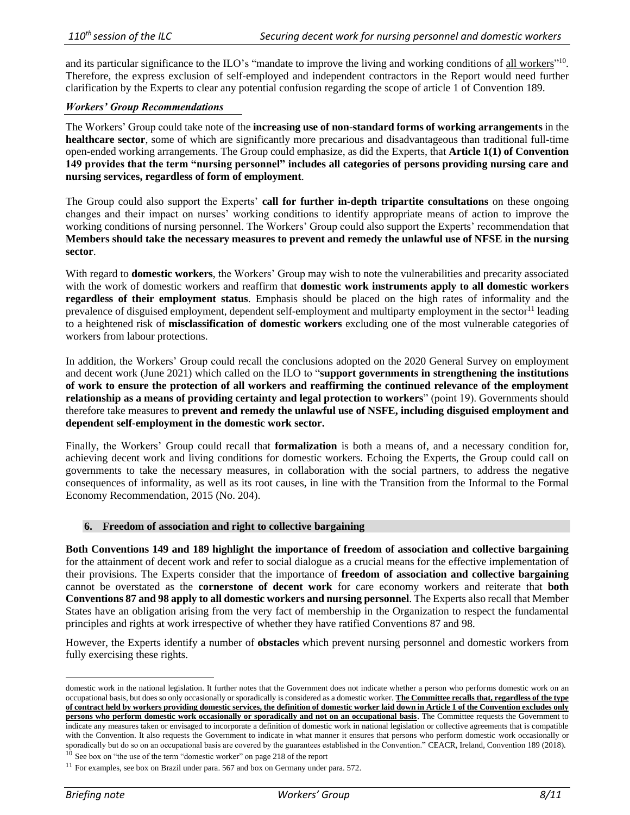and its particular significance to the ILO's "mandate to improve the living and working conditions of all workers"<sup>10</sup>. Therefore, the express exclusion of self-employed and independent contractors in the Report would need further clarification by the Experts to clear any potential confusion regarding the scope of article 1 of Convention 189.

#### *Workers' Group Recommendations*

The Workers' Group could take note of the **increasing use of non-standard forms of working arrangements** in the **healthcare sector**, some of which are significantly more precarious and disadvantageous than traditional full-time open-ended working arrangements. The Group could emphasize, as did the Experts, that **Article 1(1) of Convention 149 provides that the term "nursing personnel" includes all categories of persons providing nursing care and nursing services, regardless of form of employment**.

The Group could also support the Experts' **call for further in-depth tripartite consultations** on these ongoing changes and their impact on nurses' working conditions to identify appropriate means of action to improve the working conditions of nursing personnel. The Workers' Group could also support the Experts' recommendation that **Members should take the necessary measures to prevent and remedy the unlawful use of NFSE in the nursing sector**.

With regard to **domestic workers**, the Workers' Group may wish to note the vulnerabilities and precarity associated with the work of domestic workers and reaffirm that **domestic work instruments apply to all domestic workers regardless of their employment status**. Emphasis should be placed on the high rates of informality and the prevalence of disguised employment, dependent self-employment and multiparty employment in the sector<sup>11</sup> leading to a heightened risk of **misclassification of domestic workers** excluding one of the most vulnerable categories of workers from labour protections.

In addition, the Workers' Group could recall the conclusions adopted on the 2020 General Survey on employment and decent work (June 2021) which called on the ILO to "**support governments in strengthening the institutions of work to ensure the protection of all workers and reaffirming the continued relevance of the employment relationship as a means of providing certainty and legal protection to workers**" (point 19). Governments should therefore take measures to **prevent and remedy the unlawful use of NSFE, including disguised employment and dependent self-employment in the domestic work sector.**

Finally, the Workers' Group could recall that **formalization** is both a means of, and a necessary condition for, achieving decent work and living conditions for domestic workers. Echoing the Experts, the Group could call on governments to take the necessary measures, in collaboration with the social partners, to address the negative consequences of informality, as well as its root causes, in line with the Transition from the Informal to the Formal Economy Recommendation, 2015 (No. 204).

# **6. Freedom of association and right to collective bargaining**

**Both Conventions 149 and 189 highlight the importance of freedom of association and collective bargaining** for the attainment of decent work and refer to social dialogue as a crucial means for the effective implementation of their provisions. The Experts consider that the importance of **freedom of association and collective bargaining** cannot be overstated as the **cornerstone of decent work** for care economy workers and reiterate that **both Conventions 87 and 98 apply to all domestic workers and nursing personnel**. The Experts also recall that Member States have an obligation arising from the very fact of membership in the Organization to respect the fundamental principles and rights at work irrespective of whether they have ratified Conventions 87 and 98.

However, the Experts identify a number of **obstacles** which prevent nursing personnel and domestic workers from fully exercising these rights.

domestic work in the national legislation. It further notes that the Government does not indicate whether a person who performs domestic work on an occupational basis, but does so only occasionally or sporadically is considered as a domestic worker. **The Committee recalls that, regardless of the type of contract held by workers providing domestic services, the definition of domestic worker laid down in Article 1 of the Convention excludes only persons who perform domestic work occasionally or sporadically and not on an occupational basis**. The Committee requests the Government to indicate any measures taken or envisaged to incorporate a definition of domestic work in national legislation or collective agreements that is compatible with the Convention. It also requests the Government to indicate in what manner it ensures that persons who perform domestic work occasionally or sporadically but do so on an occupational basis are covered by the guarantees established in the Convention." CEACR, Ireland, Convention 189 (2018).  $10$  See box on "the use of the term "domestic worker" on page 218 of the report

 $11$  For examples, see box on Brazil under para. 567 and box on Germany under para. 572.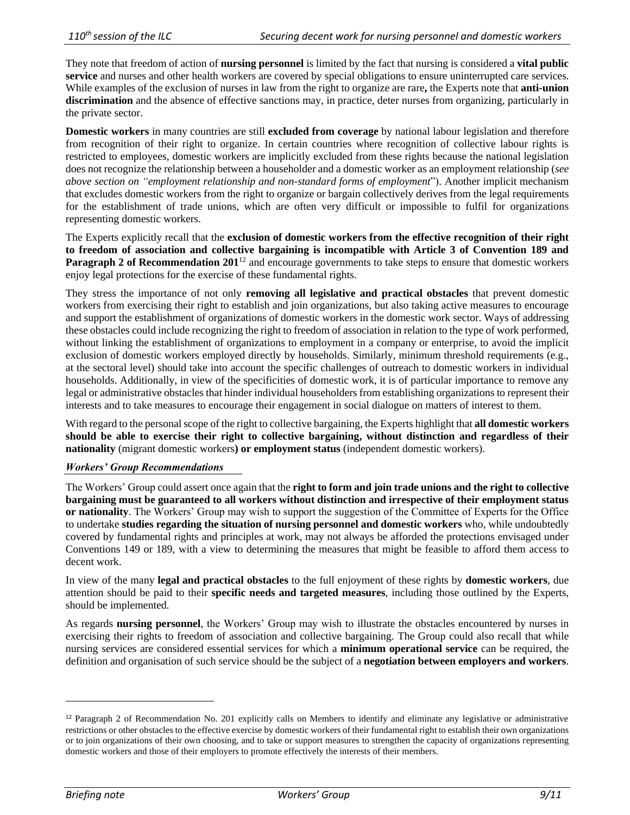They note that freedom of action of **nursing personnel** is limited by the fact that nursing is considered a **vital public service** and nurses and other health workers are covered by special obligations to ensure uninterrupted care services. While examples of the exclusion of nurses in law from the right to organize are rare**,** the Experts note that **anti-union discrimination** and the absence of effective sanctions may, in practice, deter nurses from organizing, particularly in the private sector.

**Domestic workers** in many countries are still **excluded from coverage** by national labour legislation and therefore from recognition of their right to organize. In certain countries where recognition of collective labour rights is restricted to employees, domestic workers are implicitly excluded from these rights because the national legislation does not recognize the relationship between a householder and a domestic worker as an employment relationship (*see above section on "employment relationship and non-standard forms of employment*"). Another implicit mechanism that excludes domestic workers from the right to organize or bargain collectively derives from the legal requirements for the establishment of trade unions, which are often very difficult or impossible to fulfil for organizations representing domestic workers.

The Experts explicitly recall that the **exclusion of domestic workers from the effective recognition of their right to freedom of association and collective bargaining is incompatible with Article 3 of Convention 189 and Paragraph 2 of Recommendation 201<sup>12</sup>** and encourage governments to take steps to ensure that domestic workers enjoy legal protections for the exercise of these fundamental rights.

They stress the importance of not only **removing all legislative and practical obstacles** that prevent domestic workers from exercising their right to establish and join organizations, but also taking active measures to encourage and support the establishment of organizations of domestic workers in the domestic work sector. Ways of addressing these obstacles could include recognizing the right to freedom of association in relation to the type of work performed, without linking the establishment of organizations to employment in a company or enterprise, to avoid the implicit exclusion of domestic workers employed directly by households. Similarly, minimum threshold requirements (e.g., at the sectoral level) should take into account the specific challenges of outreach to domestic workers in individual households. Additionally, in view of the specificities of domestic work, it is of particular importance to remove any legal or administrative obstacles that hinder individual householders from establishing organizations to represent their interests and to take measures to encourage their engagement in social dialogue on matters of interest to them.

With regard to the personal scope of the right to collective bargaining, the Experts highlight that **all domestic workers should be able to exercise their right to collective bargaining, without distinction and regardless of their nationality** (migrant domestic workers**) or employment status** (independent domestic workers).

# *Workers' Group Recommendations*

The Workers' Group could assert once again that the **right to form and join trade unions and the right to collective bargaining must be guaranteed to all workers without distinction and irrespective of their employment status or nationality**. The Workers' Group may wish to support the suggestion of the Committee of Experts for the Office to undertake **studies regarding the situation of nursing personnel and domestic workers** who, while undoubtedly covered by fundamental rights and principles at work, may not always be afforded the protections envisaged under Conventions 149 or 189, with a view to determining the measures that might be feasible to afford them access to decent work.

In view of the many **legal and practical obstacles** to the full enjoyment of these rights by **domestic workers**, due attention should be paid to their **specific needs and targeted measures**, including those outlined by the Experts, should be implemented.

As regards **nursing personnel**, the Workers' Group may wish to illustrate the obstacles encountered by nurses in exercising their rights to freedom of association and collective bargaining. The Group could also recall that while nursing services are considered essential services for which a **minimum operational service** can be required, the definition and organisation of such service should be the subject of a **negotiation between employers and workers**.

<sup>12</sup> Paragraph 2 of Recommendation No. 201 explicitly calls on Members to identify and eliminate any legislative or administrative restrictions or other obstacles to the effective exercise by domestic workers of their fundamental right to establish their own organizations or to join organizations of their own choosing, and to take or support measures to strengthen the capacity of organizations representing domestic workers and those of their employers to promote effectively the interests of their members.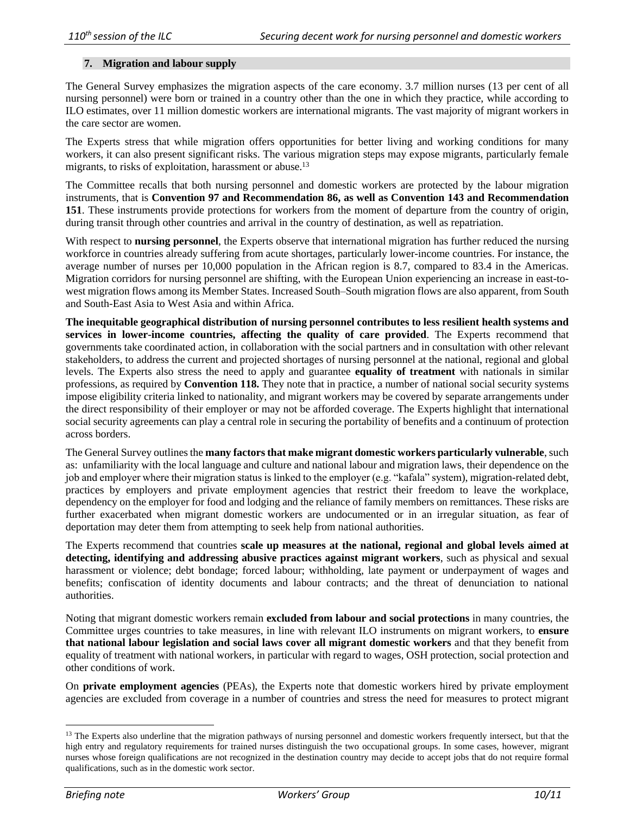#### **7. Migration and labour supply**

The General Survey emphasizes the migration aspects of the care economy. 3.7 million nurses (13 per cent of all nursing personnel) were born or trained in a country other than the one in which they practice, while according to ILO estimates, over 11 million domestic workers are international migrants. The vast majority of migrant workers in the care sector are women.

The Experts stress that while migration offers opportunities for better living and working conditions for many workers, it can also present significant risks. The various migration steps may expose migrants, particularly female migrants, to risks of exploitation, harassment or abuse.<sup>13</sup>

The Committee recalls that both nursing personnel and domestic workers are protected by the labour migration instruments, that is **Convention 97 and Recommendation 86, as well as Convention 143 and Recommendation 151**. These instruments provide protections for workers from the moment of departure from the country of origin, during transit through other countries and arrival in the country of destination, as well as repatriation.

With respect to **nursing personnel**, the Experts observe that international migration has further reduced the nursing workforce in countries already suffering from acute shortages, particularly lower-income countries. For instance, the average number of nurses per 10,000 population in the African region is 8.7, compared to 83.4 in the Americas. Migration corridors for nursing personnel are shifting, with the European Union experiencing an increase in east-towest migration flows among its Member States. Increased South–South migration flows are also apparent, from South and South-East Asia to West Asia and within Africa.

**The inequitable geographical distribution of nursing personnel contributes to less resilient health systems and services in lower-income countries, affecting the quality of care provided**. The Experts recommend that governments take coordinated action, in collaboration with the social partners and in consultation with other relevant stakeholders, to address the current and projected shortages of nursing personnel at the national, regional and global levels. The Experts also stress the need to apply and guarantee **equality of treatment** with nationals in similar professions, as required by **Convention 118.** They note that in practice, a number of national social security systems impose eligibility criteria linked to nationality, and migrant workers may be covered by separate arrangements under the direct responsibility of their employer or may not be afforded coverage. The Experts highlight that international social security agreements can play a central role in securing the portability of benefits and a continuum of protection across borders.

The General Survey outlines the **many factors that make migrant domestic workers particularly vulnerable**, such as: unfamiliarity with the local language and culture and national labour and migration laws, their dependence on the job and employer where their migration status is linked to the employer (e.g. "kafala" system), migration-related debt, practices by employers and private employment agencies that restrict their freedom to leave the workplace, dependency on the employer for food and lodging and the reliance of family members on remittances. These risks are further exacerbated when migrant domestic workers are undocumented or in an irregular situation, as fear of deportation may deter them from attempting to seek help from national authorities.

The Experts recommend that countries **scale up measures at the national, regional and global levels aimed at detecting, identifying and addressing abusive practices against migrant workers**, such as physical and sexual harassment or violence; debt bondage; forced labour; withholding, late payment or underpayment of wages and benefits; confiscation of identity documents and labour contracts; and the threat of denunciation to national authorities.

Noting that migrant domestic workers remain **excluded from labour and social protections** in many countries, the Committee urges countries to take measures, in line with relevant ILO instruments on migrant workers, to **ensure that national labour legislation and social laws cover all migrant domestic workers** and that they benefit from equality of treatment with national workers, in particular with regard to wages, OSH protection, social protection and other conditions of work.

On **private employment agencies** (PEAs), the Experts note that domestic workers hired by private employment agencies are excluded from coverage in a number of countries and stress the need for measures to protect migrant

<sup>&</sup>lt;sup>13</sup> The Experts also underline that the migration pathways of nursing personnel and domestic workers frequently intersect, but that the high entry and regulatory requirements for trained nurses distinguish the two occupational groups. In some cases, however, migrant nurses whose foreign qualifications are not recognized in the destination country may decide to accept jobs that do not require formal qualifications, such as in the domestic work sector.